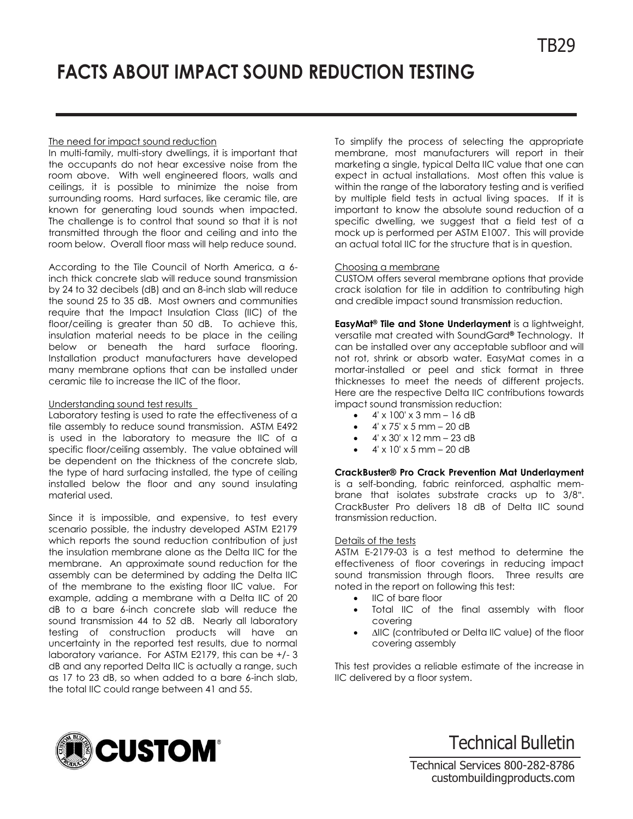# **FACTS ABOUT IMPACT SOUND REDUCTION TESTING**

## The need for impact sound reduction

In multi-family, multi-story dwellings, it is important that the occupants do not hear excessive noise from the room above. With well engineered floors, walls and ceilings, it is possible to minimize the noise from surrounding rooms. Hard surfaces, like ceramic tile, are known for generating loud sounds when impacted. The challenge is to control that sound so that it is not transmitted through the floor and ceiling and into the room below. Overall floor mass will help reduce sound.

According to the Tile Council of North America, a 6 inch thick concrete slab will reduce sound transmission by 24 to 32 decibels (dB) and an 8-inch slab will reduce the sound 25 to 35 dB. Most owners and communities require that the Impact Insulation Class (IIC) of the floor/ceiling is greater than 50 dB. To achieve this, insulation material needs to be place in the ceiling below or beneath the hard surface flooring. Installation product manufacturers have developed many membrane options that can be installed under ceramic tile to increase the IIC of the floor.

## Understanding sound test results

Laboratory testing is used to rate the effectiveness of a tile assembly to reduce sound transmission. ASTM E492 is used in the laboratory to measure the IIC of a specific floor/ceiling assembly. The value obtained will be dependent on the thickness of the concrete slab, the type of hard surfacing installed, the type of ceiling installed below the floor and any sound insulating material used.

Since it is impossible, and expensive, to test every scenario possible, the industry developed ASTM E2179 which reports the sound reduction contribution of just the insulation membrane alone as the Delta IIC for the membrane. An approximate sound reduction for the assembly can be determined by adding the Delta IIC of the membrane to the existing floor IIC value. For example, adding a membrane with a Delta IIC of 20 dB to a bare 6-inch concrete slab will reduce the sound transmission 44 to 52 dB. Nearly all laboratory testing of construction products will have an uncertainty in the reported test results, due to normal laboratory variance. For ASTM E2179, this can be +/- 3 dB and any reported Delta IIC is actually a range, such as 17 to 23 dB, so when added to a bare 6-inch slab, the total IIC could range between 41 and 55.

To simplify the process of selecting the appropriate membrane, most manufacturers will report in their marketing a single, typical Delta IIC value that one can expect in actual installations. Most often this value is within the range of the laboratory testing and is verified by multiple field tests in actual living spaces. If it is important to know the absolute sound reduction of a specific dwelling, we suggest that a field test of a mock up is performed per ASTM E1007. This will provide an actual total IIC for the structure that is in question.

## Choosing a membrane

CUSTOM offers several membrane options that provide crack isolation for tile in addition to contributing high and credible impact sound transmission reduction.

**EasyMat® Tile and Stone Underlayment** is a lightweight, versatile mat created with SoundGard**®** Technology. It can be installed over any acceptable subfloor and will not rot, shrink or absorb water. EasyMat comes in a mortar-installed or peel and stick format in three thicknesses to meet the needs of different projects. Here are the respective Delta IIC contributions towards impact sound transmission reduction:

- $\bullet$  4' x 100' x 3 mm 16 dB
- 4' x 75' x 5 mm 20 dB
- 4' x 30' x 12 mm 23 dB
- 4' x 10' x 5 mm 20 dB

# **CrackBuster® [Pro Crack Prevention Mat Underlayment](http://www.custombuildingproducts.com/products/surface-preparation/waterproofing-membranes-underlayments/crack-buster-pro.aspx)**

is a self-bonding, fabric reinforced, asphaltic membrane that isolates substrate cracks up to 3/8". CrackBuster Pro delivers 18 dB of Delta IIC sound transmission reduction.

### Details of the tests

ASTM E-2179-03 is a test method to determine the effectiveness of floor coverings in reducing impact sound transmission through floors. Three results are noted in the report on following this test:

- IIC of bare floor
- Total IIC of the final assembly with floor covering
- ∆IIC (contributed or Delta IIC value) of the floor covering assembly

This test provides a reliable estimate of the increase in IIC delivered by a floor system.